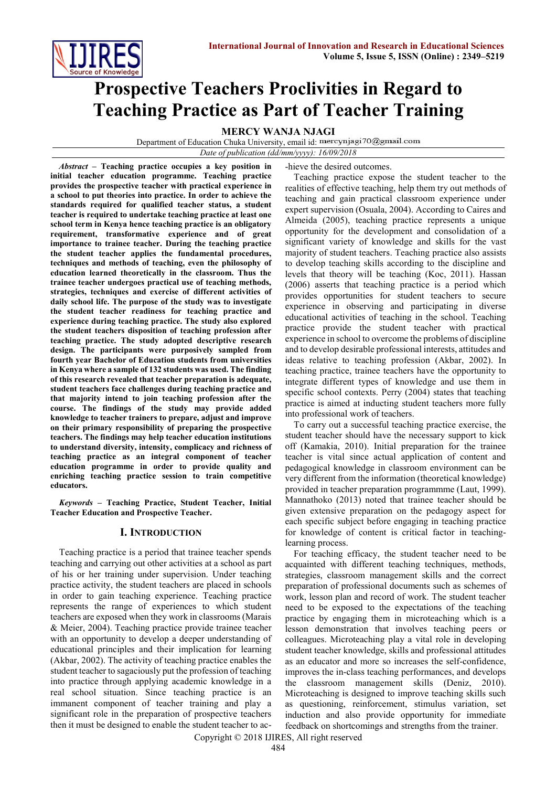

# **Prospective Teachers Proclivities in Regard to Teaching Practice as Part of Teacher Training**

**MERCY WANJA NJAGI**

Department of Education Chuka University, email id: mercynjagi70@gmail.com

*Date of publication (dd/mm/yyyy): 16/09/2018*

*Abstract* **– Teaching practice occupies a key position in initial teacher education programme. Teaching practice provides the prospective teacher with practical experience in a school to put theories into practice. In order to achieve the standards required for qualified teacher status, a student teacher is required to undertake teaching practice at least one school term in Kenya hence teaching practice is an obligatory requirement, transformative experience and of great importance to trainee teacher. During the teaching practice the student teacher applies the fundamental procedures, techniques and methods of teaching, even the philosophy of education learned theoretically in the classroom. Thus the trainee teacher undergoes practical use of teaching methods, strategies, techniques and exercise of different activities of daily school life. The purpose of the study was to investigate the student teacher readiness for teaching practice and experience during teaching practice. The study also explored the student teachers disposition of teaching profession after teaching practice. The study adopted descriptive research design. The participants were purposively sampled from fourth year Bachelor of Education students from universities in Kenya where a sample of 132 students was used. The finding of this research revealed that teacher preparation is adequate, student teachers face challenges during teaching practice and that majority intend to join teaching profession after the course. The findings of the study may provide added knowledge to teacher trainers to prepare, adjust and improve on their primary responsibility of preparing the prospective teachers. The findings may help teacher education institutions to understand diversity, intensity, complicacy and richness of teaching practice as an integral component of teacher education programme in order to provide quality and enriching teaching practice session to train competitive educators.**

*Keywords* **– Teaching Practice, Student Teacher, Initial Teacher Education and Prospective Teacher.**

# **I. INTRODUCTION**

Teaching practice is a period that trainee teacher spends teaching and carrying out other activities at a school as part of his or her training under supervision. Under teaching practice activity, the student teachers are placed in schools in order to gain teaching experience. Teaching practice represents the range of experiences to which student teachers are exposed when they work in classrooms (Marais & Meier, 2004). Teaching practice provide trainee teacher with an opportunity to develop a deeper understanding of educational principles and their implication for learning (Akbar, 2002). The activity of teaching practice enables the student teacher to sagaciously put the profession of teaching into practice through applying academic knowledge in a real school situation. Since teaching practice is an immanent component of teacher training and play a significant role in the preparation of prospective teachers then it must be designed to enable the student teacher to ac-hieve the desired outcomes.

Teaching practice expose the student teacher to the realities of effective teaching, help them try out methods of teaching and gain practical classroom experience under expert supervision (Osuala, 2004). According to Caires and Almeida (2005), teaching practice represents a unique opportunity for the development and consolidation of a significant variety of knowledge and skills for the vast majority of student teachers. Teaching practice also assists to develop teaching skills according to the discipline and levels that theory will be teaching (Koc, 2011). Hassan (2006) asserts that teaching practice is a period which provides opportunities for student teachers to secure experience in observing and participating in diverse educational activities of teaching in the school. Teaching practice provide the student teacher with practical experience in school to overcome the problems of discipline and to develop desirable professional interests, attitudes and ideas relative to teaching profession (Akbar, 2002). In teaching practice, trainee teachers have the opportunity to integrate different types of knowledge and use them in specific school contexts. Perry (2004) states that teaching practice is aimed at inducting student teachers more fully into professional work of teachers.

To carry out a successful teaching practice exercise, the student teacher should have the necessary support to kick off (Kamakia, 2010). Initial preparation for the trainee teacher is vital since actual application of content and pedagogical knowledge in classroom environment can be very different from the information (theoretical knowledge) provided in teacher preparation programmme (Laut, 1999). Mannathoko (2013) noted that trainee teacher should be given extensive preparation on the pedagogy aspect for each specific subject before engaging in teaching practice for knowledge of content is critical factor in teachinglearning process.

For teaching efficacy, the student teacher need to be acquainted with different teaching techniques, methods, strategies, classroom management skills and the correct preparation of professional documents such as schemes of work, lesson plan and record of work. The student teacher need to be exposed to the expectations of the teaching practice by engaging them in microteaching which is a lesson demonstration that involves teaching peers or colleagues. Microteaching play a vital role in developing student teacher knowledge, skills and professional attitudes as an educator and more so increases the self-confidence, improves the in-class teaching performances, and develops the classroom management skills (Deniz, 2010). Microteaching is designed to improve teaching skills such as questioning, reinforcement, stimulus variation, set induction and also provide opportunity for immediate feedback on shortcomings and strengths from the trainer.

Copyright © 2018 IJIRES, All right reserved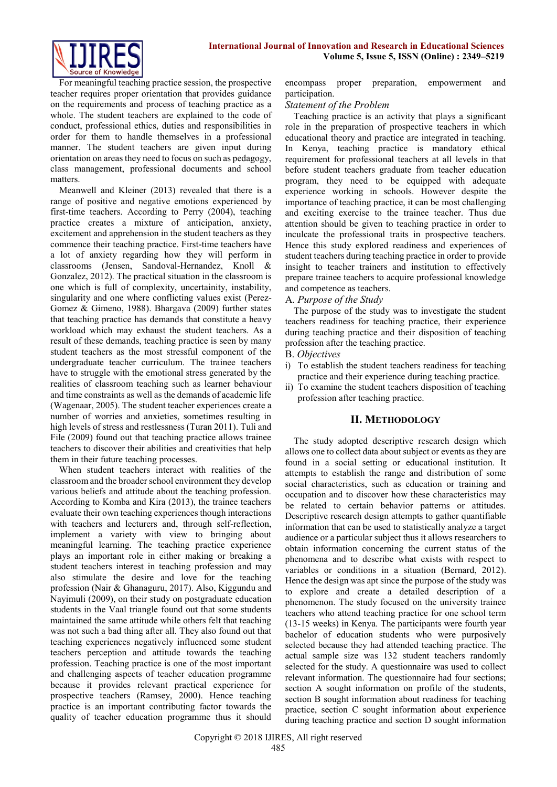

For meaningful teaching practice session, the prospective teacher requires proper orientation that provides guidance on the requirements and process of teaching practice as a whole. The student teachers are explained to the code of conduct, professional ethics, duties and responsibilities in order for them to handle themselves in a professional manner. The student teachers are given input during orientation on areas they need to focus on such as pedagogy, class management, professional documents and school matters.

Meanwell and Kleiner (2013) revealed that there is a range of positive and negative emotions experienced by first-time teachers. According to Perry (2004), teaching practice creates a mixture of anticipation, anxiety, excitement and apprehension in the student teachers as they commence their teaching practice. First-time teachers have a lot of anxiety regarding how they will perform in classrooms (Jensen, Sandoval-Hernandez, Knoll & Gonzalez, 2012). The practical situation in the classroom is one which is full of complexity, uncertainity, instability, singularity and one where conflicting values exist (Perez-Gomez & Gimeno, 1988). Bhargava (2009) further states that teaching practice has demands that constitute a heavy workload which may exhaust the student teachers. As a result of these demands, teaching practice is seen by many student teachers as the most stressful component of the undergraduate teacher curriculum. The trainee teachers have to struggle with the emotional stress generated by the realities of classroom teaching such as learner behaviour and time constraints as well as the demands of academic life (Wagenaar, 2005). The student teacher experiences create a number of worries and anxieties, sometimes resulting in high levels of stress and restlessness (Turan 2011). Tuli and File (2009) found out that teaching practice allows trainee teachers to discover their abilities and creativities that help them in their future teaching processes.

When student teachers interact with realities of the classroom and the broader school environment they develop various beliefs and attitude about the teaching profession. According to Komba and Kira (2013), the trainee teachers evaluate their own teaching experiences though interactions with teachers and lecturers and, through self-reflection, implement a variety with view to bringing about meaningful learning. The teaching practice experience plays an important role in either making or breaking a student teachers interest in teaching profession and may also stimulate the desire and love for the teaching profession (Nair & Ghanaguru, 2017). Also, Kiggundu and Nayimuli (2009), on their study on postgraduate education students in the Vaal triangle found out that some students maintained the same attitude while others felt that teaching was not such a bad thing after all. They also found out that teaching experiences negatively influenced some student teachers perception and attitude towards the teaching profession. Teaching practice is one of the most important and challenging aspects of teacher education programme because it provides relevant practical experience for prospective teachers (Ramsey, 2000). Hence teaching practice is an important contributing factor towards the quality of teacher education programme thus it should encompass proper preparation, empowerment and participation.

#### *Statement of the Problem*

Teaching practice is an activity that plays a significant role in the preparation of prospective teachers in which educational theory and practice are integrated in teaching. In Kenya, teaching practice is mandatory ethical requirement for professional teachers at all levels in that before student teachers graduate from teacher education program, they need to be equipped with adequate experience working in schools. However despite the importance of teaching practice, it can be most challenging and exciting exercise to the trainee teacher. Thus due attention should be given to teaching practice in order to inculcate the professional traits in prospective teachers. Hence this study explored readiness and experiences of student teachers during teaching practice in order to provide insight to teacher trainers and institution to effectively prepare trainee teachers to acquire professional knowledge and competence as teachers.

#### A. *Purpose of the Study*

The purpose of the study was to investigate the student teachers readiness for teaching practice, their experience during teaching practice and their disposition of teaching profession after the teaching practice.

#### B. *Objectives*

- i) To establish the student teachers readiness for teaching practice and their experience during teaching practice.
- ii) To examine the student teachers disposition of teaching profession after teaching practice.

## **II. METHODOLOGY**

The study adopted descriptive research design which allows one to collect data about subject or events as they are found in a social setting or educational institution. It attempts to establish the range and distribution of some social characteristics, such as education or training and occupation and to discover how these characteristics may be related to certain behavior patterns or attitudes. Descriptive research design attempts to gather quantifiable information that can be used to statistically analyze a target audience or a particular subject thus it allows researchers to obtain information concerning the current status of the phenomena and to describe what exists with respect to variables or conditions in a situation (Bernard, 2012). Hence the design was apt since the purpose of the study was to explore and create a detailed description of a phenomenon. The study focused on the university trainee teachers who attend teaching practice for one school term (13-15 weeks) in Kenya. The participants were fourth year bachelor of education students who were purposively selected because they had attended teaching practice. The actual sample size was 132 student teachers randomly selected for the study. A questionnaire was used to collect relevant information. The questionnaire had four sections; section A sought information on profile of the students, section B sought information about readiness for teaching practice, section C sought information about experience during teaching practice and section D sought information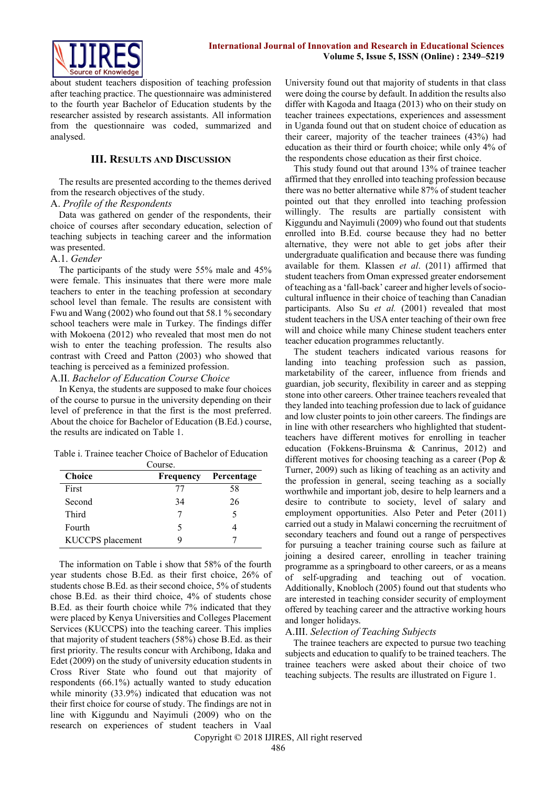

about student teachers disposition of teaching profession after teaching practice. The questionnaire was administered to the fourth year Bachelor of Education students by the researcher assisted by research assistants. All information from the questionnaire was coded, summarized and analysed.

#### **III. RESULTS AND DISCUSSION**

The results are presented according to the themes derived from the research objectives of the study.

#### A. *Profile of the Respondents*

Data was gathered on gender of the respondents, their choice of courses after secondary education, selection of teaching subjects in teaching career and the information was presented.

#### A.1. *Gender*

The participants of the study were 55% male and 45% were female. This insinuates that there were more male teachers to enter in the teaching profession at secondary school level than female. The results are consistent with Fwu and Wang (2002) who found out that 58.1 % secondary school teachers were male in Turkey. The findings differ with Mokoena (2012) who revealed that most men do not wish to enter the teaching profession. The results also contrast with Creed and Patton (2003) who showed that teaching is perceived as a feminized profession.

# A.II. *Bachelor of Education Course Choice*

In Kenya, the students are supposed to make four choices of the course to pursue in the university depending on their level of preference in that the first is the most preferred. About the choice for Bachelor of Education (B.Ed.) course, the results are indicated on Table 1.

Table i. Trainee teacher Choice of Bachelor of Education

| Course.          |           |            |  |
|------------------|-----------|------------|--|
| <b>Choice</b>    | Frequency | Percentage |  |
| First            | 77        | 58         |  |
| Second           | 34        | 26         |  |
| Third            |           |            |  |
| Fourth           | 5         |            |  |
| KUCCPS placement |           |            |  |

The information on Table i show that 58% of the fourth year students chose B.Ed. as their first choice, 26% of students chose B.Ed. as their second choice, 5% of students chose B.Ed. as their third choice, 4% of students chose B.Ed. as their fourth choice while 7% indicated that they were placed by Kenya Universities and Colleges Placement Services (KUCCPS) into the teaching career. This implies that majority of student teachers (58%) chose B.Ed. as their first priority. The results concur with Archibong, Idaka and Edet (2009) on the study of university education students in Cross River State who found out that majority of respondents (66.1%) actually wanted to study education while minority (33.9%) indicated that education was not their first choice for course of study. The findings are not in line with Kiggundu and Nayimuli (2009) who on the research on experiences of student teachers in Vaal University found out that majority of students in that class were doing the course by default. In addition the results also differ with Kagoda and Itaaga (2013) who on their study on teacher trainees expectations, experiences and assessment in Uganda found out that on student choice of education as their career, majority of the teacher trainees (43%) had education as their third or fourth choice; while only 4% of the respondents chose education as their first choice.

This study found out that around 13% of trainee teacher affirmed that they enrolled into teaching profession because there was no better alternative while 87% of student teacher pointed out that they enrolled into teaching profession willingly. The results are partially consistent with Kiggundu and Nayimuli (2009) who found out that students enrolled into B.Ed. course because they had no better alternative, they were not able to get jobs after their undergraduate qualification and because there was funding available for them. Klassen *et al*. [\(2011\)](https://www.tandfonline.com/doi/full/10.1080/02607476.2017.1296562) affirmed that student teachers from Oman expressed greater endorsement of teaching as a 'fall-back' career and higher levels of sociocultural influence in their choice of teaching than Canadian participants. Also Su *et al.* [\(2001\)](https://www.tandfonline.com/doi/full/10.1080/02607476.2017.1296562) revealed that most student teachers in the USA enter teaching of their own free will and choice while many Chinese student teachers enter teacher education programmes reluctantly.

The student teachers indicated various reasons for landing into teaching profession such as passion, marketability of the career, influence from friends and guardian, job security, flexibility in career and as stepping stone into other careers. Other trainee teachers revealed that they landed into teaching profession due to lack of guidance and low cluster points to join other careers. The findings are in line with other researchers who highlighted that studentteachers have different motives for enrolling in teacher education (Fokkens-Bruinsma & Canrinus, [2012\)](https://www.tandfonline.com/doi/full/10.1080/02607476.2017.1296562) and different motives for choosing teaching as a career (Pop & Turner, [2009\)](https://www.tandfonline.com/doi/full/10.1080/02607476.2017.1296562) such as liking of teaching as an activity and the profession in general, seeing teaching as a socially worthwhile and important job, desire to help learners and a desire to contribute to society, level of salary and employment opportunities. Also Peter and Peter (2011) carried out a study in Malawi concerning the recruitment of secondary teachers and found out a range of perspectives for pursuing a teacher training course such as failure at joining a desired career, enrolling in teacher training programme as a springboard to other careers, or as a means of self-upgrading and teaching out of vocation. Additionally, Knobloch (2005) found out that students who are interested in teaching consider security of employment offered by teaching career and the attractive working hours and longer holidays.

## A.III. *Selection of Teaching Subjects*

The trainee teachers are expected to pursue two teaching subjects and education to qualify to be trained teachers. The trainee teachers were asked about their choice of two teaching subjects. The results are illustrated on Figure 1.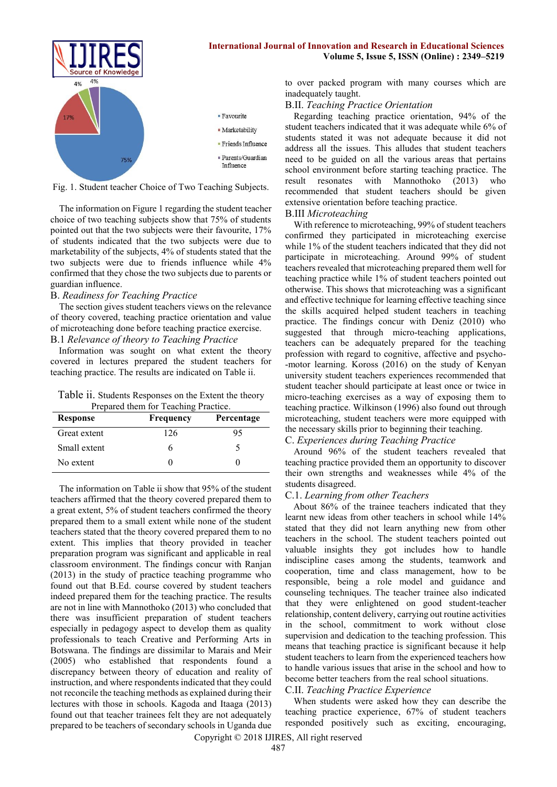

Fig. 1. Student teacher Choice of Two Teaching Subjects.

The information on Figure 1 regarding the student teacher choice of two teaching subjects show that 75% of students pointed out that the two subjects were their favourite, 17% of students indicated that the two subjects were due to marketability of the subjects, 4% of students stated that the two subjects were due to friends influence while 4% confirmed that they chose the two subjects due to parents or guardian influence.

#### B. *Readiness for Teaching Practice*

The section gives student teachers views on the relevance of theory covered, teaching practice orientation and value of microteaching done before teaching practice exercise. B.1 *Relevance of theory to Teaching Practice*

Information was sought on what extent the theory covered in lectures prepared the student teachers for teaching practice. The results are indicated on Table ii.

Table ii. Students Responses on the Extent the theory Prepared them for Teaching Practice.

| <b>Response</b> | Frequency | Percentage |
|-----------------|-----------|------------|
| Great extent    | 126       | 95         |
| Small extent    |           |            |
| No extent       |           |            |

The information on Table ii show that 95% of the student teachers affirmed that the theory covered prepared them to a great extent, 5% of student teachers confirmed the theory prepared them to a small extent while none of the student teachers stated that the theory covered prepared them to no extent. This implies that theory provided in teacher preparation program was significant and applicable in real classroom environment. The findings concur with Ranjan (2013) in the study of practice teaching programme who found out that B.Ed. course covered by student teachers indeed prepared them for the teaching practice. The results are not in line with Mannothoko (2013) who concluded that there was insufficient preparation of student teachers especially in pedagogy aspect to develop them as quality professionals to teach Creative and Performing Arts in Botswana. The findings are dissimilar to Marais and Meir (2005) who established that respondents found a discrepancy between theory of education and reality of instruction, and where respondents indicated that they could not reconcile the teaching methods as explained during their lectures with those in schools. Kagoda and Itaaga (2013) found out that teacher trainees felt they are not adequately prepared to be teachers of secondary schools in Uganda due

to over packed program with many courses which are inadequately taught.

**Volume 5, Issue 5, ISSN (Online) : 2349–5219**

## B.II. *Teaching Practice Orientation*

Regarding teaching practice orientation, 94% of the student teachers indicated that it was adequate while 6% of students stated it was not adequate because it did not address all the issues. This alludes that student teachers need to be guided on all the various areas that pertains school environment before starting teaching practice. The result resonates with Mannothoko (2013) who recommended that student teachers should be given extensive orientation before teaching practice.

#### B.III *Microteaching*

With reference to microteaching, 99% of student teachers confirmed they participated in microteaching exercise while 1% of the student teachers indicated that they did not participate in microteaching. Around 99% of student teachers revealed that microteaching prepared them well for teaching practice while 1% of student teachers pointed out otherwise. This shows that microteaching was a significant and effective technique for learning effective teaching since the skills acquired helped student teachers in teaching practice. The findings concur with Deniz (2010) who suggested that through micro-teaching applications, teachers can be adequately prepared for the teaching profession with regard to cognitive, affective and psycho- -motor learning. Koross (2016) on the study of Kenyan university student teachers experiences recommended that student teacher should participate at least once or twice in micro-teaching exercises as a way of exposing them to teaching practice. Wilkinson (1996) also found out through microteaching, student teachers were more equipped with the necessary skills prior to beginning their teaching.

# C. *Experiences during Teaching Practice*

Around 96% of the student teachers revealed that teaching practice provided them an opportunity to discover their own strengths and weaknesses while 4% of the students disagreed.

## C.1. *Learning from other Teachers*

About 86% of the trainee teachers indicated that they learnt new ideas from other teachers in school while 14% stated that they did not learn anything new from other teachers in the school. The student teachers pointed out valuable insights they got includes how to handle indiscipline cases among the students, teamwork and cooperation, time and class management, how to be responsible, being a role model and guidance and counseling techniques. The teacher trainee also indicated that they were enlightened on good student-teacher relationship, content delivery, carrying out routine activities in the school, commitment to work without close supervision and dedication to the teaching profession. This means that teaching practice is significant because it help student teachers to learn from the experienced teachers how to handle various issues that arise in the school and how to become better teachers from the real school situations.

## C.II. *Teaching Practice Experience*

When students were asked how they can describe the teaching practice experience, 67% of student teachers responded positively such as exciting, encouraging,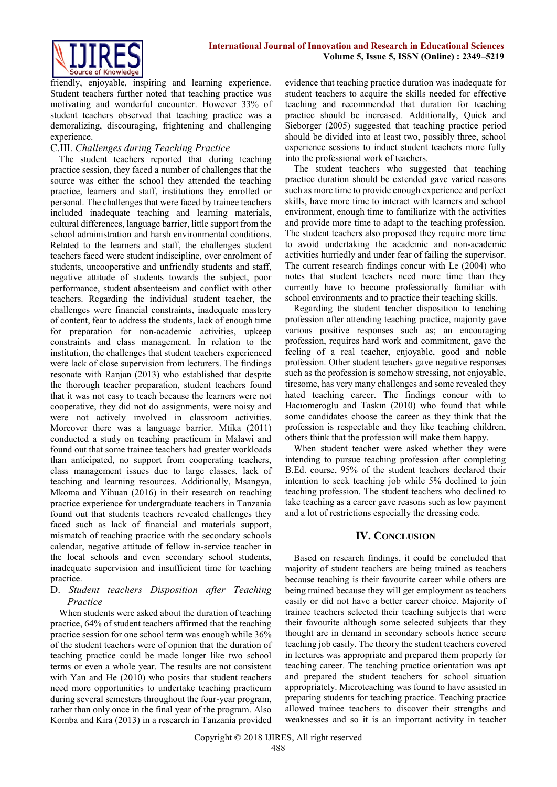friendly, enjoyable, inspiring and learning experience. Student teachers further noted that teaching practice was motivating and wonderful encounter. However 33% of student teachers observed that teaching practice was a demoralizing, discouraging, frightening and challenging experience.

# C.III. *Challenges during Teaching Practice*

The student teachers reported that during teaching practice session, they faced a number of challenges that the source was either the school they attended the teaching practice, learners and staff, institutions they enrolled or personal. The challenges that were faced by trainee teachers included inadequate teaching and learning materials, cultural differences, language barrier, little support from the school administration and harsh environmental conditions. Related to the learners and staff, the challenges student teachers faced were student indiscipline, over enrolment of students, uncooperative and unfriendly students and staff, negative attitude of students towards the subject, poor performance, student absenteeism and conflict with other teachers. Regarding the individual student teacher, the challenges were financial constraints, inadequate mastery of content, fear to address the students, lack of enough time for preparation for non-academic activities, upkeep constraints and class management. In relation to the institution, the challenges that student teachers experienced were lack of close supervision from lecturers. The findings resonate with Ranjan (2013) who established that despite the thorough teacher preparation, student teachers found that it was not easy to teach because the learners were not cooperative, they did not do assignments, were noisy and were not actively involved in classroom activities. Moreover there was a language barrier. Mtika (2011) conducted a study on teaching practicum in Malawi and found out that some trainee teachers had greater workloads than anticipated, no support from cooperating teachers, class management issues due to large classes, lack of teaching and learning resources. Additionally, Msangya, Mkoma and Yihuan (2016) in their research on teaching practice experience for undergraduate teachers in Tanzania found out that students teachers revealed challenges they faced such as lack of financial and materials support, mismatch of teaching practice with the secondary schools calendar, negative attitude of fellow in-service teacher in the local schools and even secondary school students, inadequate supervision and insufficient time for teaching practice.

# D. *Student teachers Disposition after Teaching Practice*

When students were asked about the duration of teaching practice, 64% of student teachers affirmed that the teaching practice session for one school term was enough while 36% of the student teachers were of opinion that the duration of teaching practice could be made longer like two school terms or even a whole year. The results are not consistent with Yan and He (2010) who posits that student teachers need more opportunities to undertake teaching practicum during several semesters throughout the four-year program, rather than only once in the final year of the program. Also Komba and Kira (2013) in a research in Tanzania provided

evidence that teaching practice duration was inadequate for student teachers to acquire the skills needed for effective teaching and recommended that duration for teaching practice should be increased. Additionally, Quick and Sieborger (2005) suggested that teaching practice period should be divided into at least two, possibly three, school experience sessions to induct student teachers more fully into the professional work of teachers.

The student teachers who suggested that teaching practice duration should be extended gave varied reasons such as more time to provide enough experience and perfect skills, have more time to interact with learners and school environment, enough time to familiarize with the activities and provide more time to adapt to the teaching profession. The student teachers also proposed they require more time to avoid undertaking the academic and non-academic activities hurriedly and under fear of failing the supervisor. The current research findings concur with Le (2004) who notes that student teachers need more time than they currently have to become professionally familiar with school environments and to practice their teaching skills.

Regarding the student teacher disposition to teaching profession after attending teaching practice, majority gave various positive responses such as; an encouraging profession, requires hard work and commitment, gave the feeling of a real teacher, enjoyable, good and noble profession. Other student teachers gave negative responses such as the profession is somehow stressing, not enjoyable, tiresome, has very many challenges and some revealed they hated teaching career. The findings concur with to Hacıomeroglu and Taskın (2010) who found that while some candidates choose the career as they think that the profession is respectable and they like teaching children, others think that the profession will make them happy.

When student teacher were asked whether they were intending to pursue teaching profession after completing B.Ed. course, 95% of the student teachers declared their intention to seek teaching job while 5% declined to join teaching profession. The student teachers who declined to take teaching as a career gave reasons such as low payment and a lot of restrictions especially the dressing code.

# **IV. CONCLUSION**

Based on research findings, it could be concluded that majority of student teachers are being trained as teachers because teaching is their favourite career while others are being trained because they will get employment as teachers easily or did not have a better career choice. Majority of trainee teachers selected their teaching subjects that were their favourite although some selected subjects that they thought are in demand in secondary schools hence secure teaching job easily. The theory the student teachers covered in lectures was appropriate and prepared them properly for teaching career. The teaching practice orientation was apt and prepared the student teachers for school situation appropriately. Microteaching was found to have assisted in preparing students for teaching practice. Teaching practice allowed trainee teachers to discover their strengths and weaknesses and so it is an important activity in teacher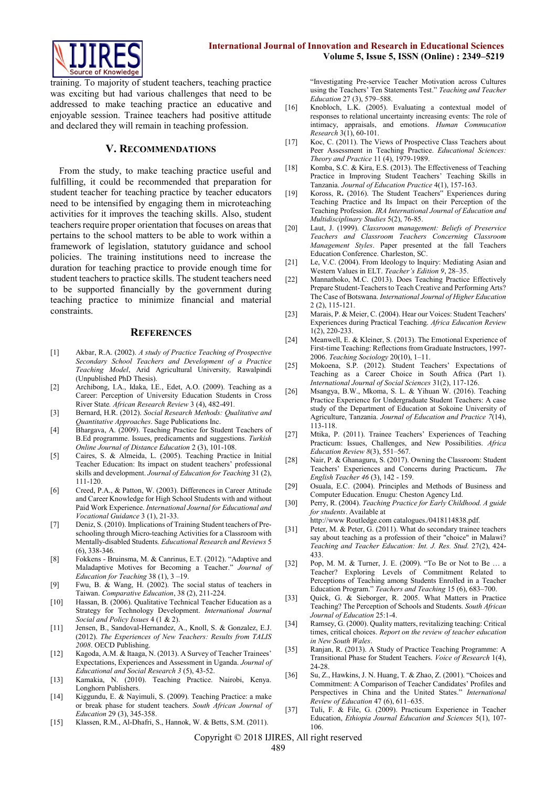

training. To majority of student teachers, teaching practice was exciting but had various challenges that need to be addressed to make teaching practice an educative and enjoyable session. Trainee teachers had positive attitude and declared they will remain in teaching profession.

#### **V. RECOMMENDATIONS**

From the study, to make teaching practice useful and fulfilling, it could be recommended that preparation for student teacher for teaching practice by teacher educators need to be intensified by engaging them in microteaching activities for it improves the teaching skills. Also, student teachers require proper orientation that focuses on areas that pertains to the school matters to be able to work within a framework of legislation, statutory guidance and school policies. The training institutions need to increase the duration for teaching practice to provide enough time for student teachers to practice skills. The student teachers need to be supported financially by the government during teaching practice to minimize financial and material constraints.

#### **REFERENCES**

- [1] Akbar, R.A. (2002). *A study of Practice Teaching of Prospective Secondary School Teachers and Development of a Practice Teaching Model*, Arid Agricultural University*,* Rawalpindi (Unpublished PhD Thesis).
- [2] Archibong, I.A., Idaka, I.E., Edet, A.O. (2009). Teaching as a Career: Perception of University Education Students in Cross River State*. African Research Review* 3 (4), 482-491*.*
- [3] Bernard, H.R. (2012). *Social Research Methods: Qualitative and Quantitative Approaches*. Sage Publications Inc.
- [4] Bhargava, A. (2009). Teaching Practice for Student Teachers of B.Ed programme. Issues, predicaments and suggestions. *Turkish Online Journal of Distance Education* 2 (3), 101-108.
- [5] Caires, S. & Almeida, L. (2005). Teaching Practice in Initial Teacher Education: Its impact on student teachers' professional skills and development. *Journal of Education for Teaching* 31 (2), 111-120.
- [6] Creed, P.A., & Patton, W. (2003). Differences in Career Attitude and Career Knowledge for High School Students with and without Paid Work Experience. *International Journal for Educational and Vocational Guidance* 3 (1), 21-33.
- [7] Deniz, S. (2010). Implications of Training Student teachers of Preschooling through Micro-teaching Activities for a Classroom with Mentally-disabled Students. *Educational Research and Reviews* 5 (6), 338-346*.*
- [8] Fokkens Bruinsma, M. & Canrinus, E.T. (2012). "Adaptive and Maladaptive Motives for Becoming a Teacher." *Journal of Education for Teaching* 38 (1), 3 –19.
- [9] Fwu, B. & Wang, H. (2002). The social status of teachers in Taiwan. *Comparative Education*, 38 (2), 211-224.
- [10] Hassan, B. (2006). Qualitative Technical Teacher Education as a Strategy for Technology Development. *International Journal Social and Policy Issues* 4 (1 & 2).
- [11] Jensen, B., Sandoval-Hernandez, A., Knoll, S. & Gonzalez, E.J. (2012). *The Experiences of New Teachers: Results from TALIS 2008*. OECD Publishing.
- [12] Kagoda, A.M. & Itaaga, N. (2013). A Survey of Teacher Trainees' Expectations, Experiences and Assessment in Uganda. *Journal of Educational and Social Research 3* (5), 43-52.
- [13] Kamakia, N. (2010). Teaching Practice. Nairobi, Kenya. Longhorn Publishers.
- [14] Kiggundu, E. & Nayimuli, S. (2009). Teaching Practice: a make or break phase for student teachers. *South African Journal of Education* 29 (3), 345-358.
- [15] Klassen, R.M., Al-Dhafri, S., Hannok, W. & Betts, S.M. (2011).

"Investigating Pre-service Teacher Motivation across Cultures using the Teachers' Ten Statements Test." *Teaching and Teacher Education* 27 (3), 579–588.

- [16] Knobloch, L.K. (2005). Evaluating a contextual model of responses to relational uncertainty increasing events: The role of intimacy, appraisals, and emotions. *Human Commucation Research* 3(1), 60-101.
- [17] Koc, C. (2011). The Views of Prospective Class Teachers about Peer Assessment in Teaching Practice. *Educational Sciences: Theory and Practice* 11 (4), 1979-1989.
- [18] Komba, S.C. & Kira, E.S. (2013). The Effectiveness of Teaching Practice in Improving Student Teachers' Teaching Skills in Tanzania. *Journal of Education Practice* 4(1), 157-163.
- [19] Koross, R. (2016). The Student Teachers" Experiences during Teaching Practice and Its Impact on their Perception of the Teaching Profession. *IRA International Journal of Education and Multidisciplinary Studies* 5(2), 76-85.
- [20] Laut, J. (1999). *Classroom management: Beliefs of Preservice Teachers and Classroom Teachers Concerning Classroom Management Styles*. Paper presented at the fall Teachers Education Conference. Charleston, SC.
- [21] Le, V.C. (2004). From Ideology to Inquiry: Mediating Asian and Western Values in ELT. *Teacher's Edition 9*, 28–35.
- [22] Mannathoko, M.C. (2013). Does Teaching Practice Effectively Prepare Student-Teachers to Teach Creative and Performing Arts? The Case of Botswana. *International Journal of Higher Education*  2 (2), 115-121.
- [23] Marais, P. & Meier, C. (2004). Hear our Voices: Student Teachers' Experiences during Practical Teaching. *Africa Education Review* 1(2), 220-233.
- [24] Meanwell, E. & Kleiner, S. (2013). The Emotional Experience of First-time Teaching: Reflections from Graduate Instructors, 1997- 2006. *Teaching Sociology* 20(10), 1–11.
- [25] Mokoena, S.P. (2012). Student Teachers' Expectations of Teaching as a Career Choice in South Africa (Part 1). *International Journal of Social Sciences* 31(2), 117-126.
- [26] Msangya, B.W., Mkoma, S. L. & Yihuan W. (2016). Teaching Practice Experience for Undergraduate Student Teachers: A case study of the Department of Education at Sokoine University of Agriculture, Tanzania. *Journal of Education and Practice 7*(14), 113-118.
- [27] Mtika, P. (2011). Trainee Teachers' Experiences of Teaching Practicum: Issues, Challenges, and New Possibilities. *Africa Education Review 8*(3), 551–567.
- [28] Nair, P. & Ghanaguru, S. (2017). Owning the Classroom: Student Teachers' Experiences and Concerns during Practicum**.** *The English Teacher 46* (3), 142 - 159.
- [29] Osuala, E.C. (2004). Principles and Methods of Business and Computer Education. Enugu: Cheston Agency Ltd.
- [30] Perry, R. (2004). *Teaching Practice for Early Childhood. A guide for students*. Available at
- http://www Routledge.com catalogues./0418114838.pdf.
- [31] Peter, M. & Peter, G. (2011). What do secondary trainee teachers say about teaching as a profession of their "choice" in Malawi? *Teaching and Teacher Education: Int. J. Res. Stud.* 27(2), 424- 433.
- [32] Pop, M. M. & Turner, J. E. (2009). "To Be or Not to Be … a Teacher? Exploring Levels of Commitment Related to Perceptions of Teaching among Students Enrolled in a Teacher Education Program." *Teachers and Teaching* 15 (6), 683–700.
- [33] Quick, G. & Sieborger, R. 2005. What Matters in Practice Teaching? The Perception of Schools and Students. *South African Journal of Education* 25:1-4.
- [34] Ramsey, G. (2000). Quality matters, revitalizing teaching: Critical times, critical choices. *Report on the review of teacher education in New South Wales*.
- [35] Ranjan, R. (2013). A Study of Practice Teaching Programme: A Transitional Phase for Student Teachers. *Voice of Research* 1(4), 24-28.
- [36] Su, Z., Hawkins, J. N. Huang, T. & Zhao, Z. (2001). "Choices and Commitment: A Comparison of Teacher Candidates' Profiles and Perspectives in China and the United States." *International Review of Education* 47 (6), 611–635.
- [37] Tuli, F. & File, G. (2009). Practicum Experience in Teacher Education, *Ethiopia Journal Education and Sciences* 5(1), 107- 106.

Copyright © 2018 IJIRES, All right reserved